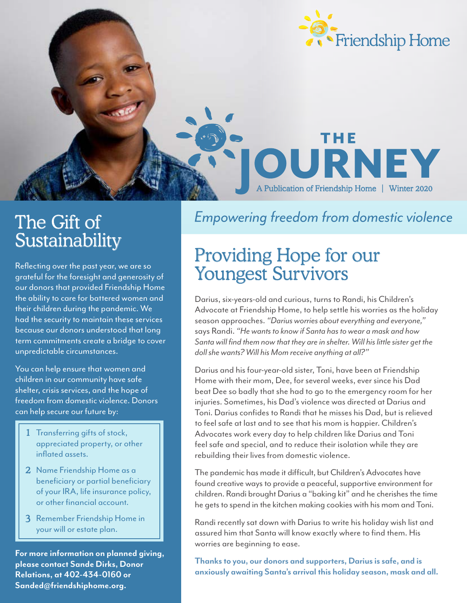

# The Gift of<br>Sustainability

Reflecting over the past year, we are so grateful for the foresight and generosity of our donors that provided Friendship Home the ability to care for battered women and their children during the pandemic. We had the security to maintain these services because our donors understood that long term commitments create a bridge to cover unpredictable circumstances.

You can help ensure that women and children in our community have safe shelter, crisis services, and the hope of freedom from domestic violence. Donors can help secure our future by:

- 1 Transferring gifts of stock, appreciated property, or other inflated assets.
- 2 Name Friendship Home as a beneficiary or partial beneficiary of your IRA, life insurance policy, or other financial account.
- 3 Remember Friendship Home in your will or estate plan.

**For more information on planned giving, please contact Sande Dirks, Donor Relations, at 402-434-0160 or Sanded@friendshiphome.org.**

**Empowering freedom from domestic violence** 

OURN

A Publication of Friendship Home | Winter 2020

### Providing Hope for our Youngest Survivors

Darius, six-years-old and curious, turns to Randi, his Children's Advocate at Friendship Home, to help settle his worries as the holiday season approaches. *"Darius worries about everything and everyone,"*  says Randi. *"He wants to know if Santa has to wear a mask and how Santa will find them now that they are in shelter. Will his little sister get the doll she wants? Will his Mom receive anything at all?"*

Darius and his four-year-old sister, Toni, have been at Friendship Home with their mom, Dee, for several weeks, ever since his Dad beat Dee so badly that she had to go to the emergency room for her injuries. Sometimes, his Dad's violence was directed at Darius and Toni. Darius confides to Randi that he misses his Dad, but is relieved to feel safe at last and to see that his mom is happier. Children's Advocates work every day to help children like Darius and Toni feel safe and special, and to reduce their isolation while they are rebuilding their lives from domestic violence.

The pandemic has made it difficult, but Children's Advocates have found creative ways to provide a peaceful, supportive environment for children. Randi brought Darius a "baking kit" and he cherishes the time he gets to spend in the kitchen making cookies with his mom and Toni.

Randi recently sat down with Darius to write his holiday wish list and assured him that Santa will know exactly where to find them. His worries are beginning to ease.

**Thanks to you, our donors and supporters, Darius is safe, and is anxiously awaiting Santa's arrival this holiday season, mask and all.**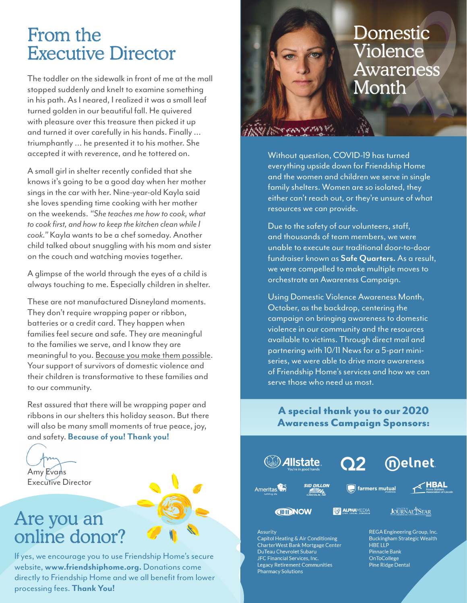### From the Executive Director

The toddler on the sidewalk in front of me at the mall stopped suddenly and knelt to examine something in his path. As I neared, I realized it was a small leaf turned golden in our beautiful fall. He quivered with pleasure over this treasure then picked it up and turned it over carefully in his hands. Finally … triumphantly … he presented it to his mother. She accepted it with reverence, and he tottered on.

A small girl in shelter recently confided that she knows it's going to be a good day when her mother sings in the car with her. Nine-year-old Kayla said she loves spending time cooking with her mother on the weekends. *"She teaches me how to cook, what to cook first, and how to keep the kitchen clean while I cook."* Kayla wants to be a chef someday. Another child talked about snuggling with his mom and sister on the couch and watching movies together.

A glimpse of the world through the eyes of a child is always touching to me. Especially children in shelter.

These are not manufactured Disneyland moments. They don't require wrapping paper or ribbon, batteries or a credit card. They happen when families feel secure and safe. They are meaningful to the families we serve, and I know they are meaningful to you. Because you make them possible. Your support of survivors of domestic violence and their children is transformative to these families and to our community.

Rest assured that there will be wrapping paper and ribbons in our shelters this holiday season. But there will also be many small moments of true peace, joy, and safety. **Because of you! Thank you!**

Amy Evans

Executive Director

# Are you an<br>online donor?

directly to Friendship Home and we all benefit from lower If yes, we encourage you to use Friendship Home's secure website, **www.friendshiphome.org.** Donations come processing fees. **Thank You!**

### **Domestic** Violence Awareness Month

Without question, COVID-19 has turned everything upside down for Friendship Home and the women and children we serve in single family shelters. Women are so isolated, they either can't reach out, or they're unsure of what resources we can provide.

Due to the safety of our volunteers, staff, and thousands of team members, we were unable to execute our traditional door-to-door fundraiser known as **Safe Quarters.** As a result, we were compelled to make multiple moves to orchestrate an Awareness Campaign.

Using Domestic Violence Awareness Month, October, as the backdrop, centering the campaign on bringing awareness to domestic violence in our community and the resources available to victims. Through direct mail and partnering with 10/11 News for a 5-part miniseries, we were able to drive more awareness of Friendship Home's services and how we can serve those who need us most.

#### A special thank you to our 2020 Awareness Campaign Sponsors:



#### Assurity

Capitol Heating & Air Conditioning CharterWest Bank Mortgage Center DuTeau Chevrolet Subaru JFC Financial Services, Inc Legacy Retirement Communities **Pharmacy Solutions** 

REGA Engineering Group, Inc. **Buckingham Strategic Wealth HBE LLP** Pinnacle Bank OnToCollege Pine Ridge Dental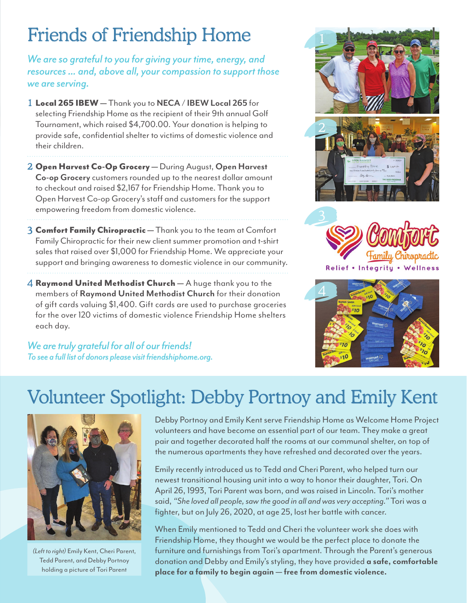# Friends of Friendship Home

*We are so grateful to you for giving your time, energy, and resources ... and, above all, your compassion to support those we are serving.* 

- 1 Local 265 IBEW Thank you to **NECA / IBEW Local 265** for selecting Friendship Home as the recipient of their 9th annual Golf Tournament, which raised \$4,700.00. Your donation is helping to provide safe, confidential shelter to victims of domestic violence and their children.
- 2 Open Harvest Co-Op Grocery During August, **Open Harvest Co-op Grocery** customers rounded up to the nearest dollar amount to checkout and raised \$2,167 for Friendship Home. Thank you to Open Harvest Co-op Grocery's staff and customers for the support empowering freedom from domestic violence.
- 3 Comfort Family Chiropractic Thank you to the team at Comfort Family Chiropractic for their new client summer promotion and t-shirt sales that raised over \$1,000 for Friendship Home. We appreciate your support and bringing awareness to domestic violence in our community.
- 4 Raymond United Methodist Church A huge thank you to the members of **Raymond United Methodist Church** for their donation of gift cards valuing \$1,400. Gift cards are used to purchase groceries for the over 120 victims of domestic violence Friendship Home shelters each day.

*We are truly grateful for all of our friends! To see a full list of donors please visit friendshiphome.org.*





## Volunteer Spotlight: Debby Portnoy and Emily Kent



*(Left to right)* Emily Kent, Cheri Parent, Tedd Parent, and Debby Portnoy holding a picture of Tori Parent

Debby Portnoy and Emily Kent serve Friendship Home as Welcome Home Project volunteers and have become an essential part of our team. They make a great pair and together decorated half the rooms at our communal shelter, on top of the numerous apartments they have refreshed and decorated over the years.

Emily recently introduced us to Tedd and Cheri Parent, who helped turn our newest transitional housing unit into a way to honor their daughter, Tori. On April 26, 1993, Tori Parent was born, and was raised in Lincoln. Tori's mother said, *"She loved all people, saw the good in all and was very accepting."* Tori was a fighter, but on July 26, 2020, at age 25, lost her battle with cancer.

When Emily mentioned to Tedd and Cheri the volunteer work she does with Friendship Home, they thought we would be the perfect place to donate the furniture and furnishings from Tori's apartment. Through the Parent's generous donation and Debby and Emily's styling, they have provided **a safe, comfortable place for a family to begin again — free from domestic violence.**